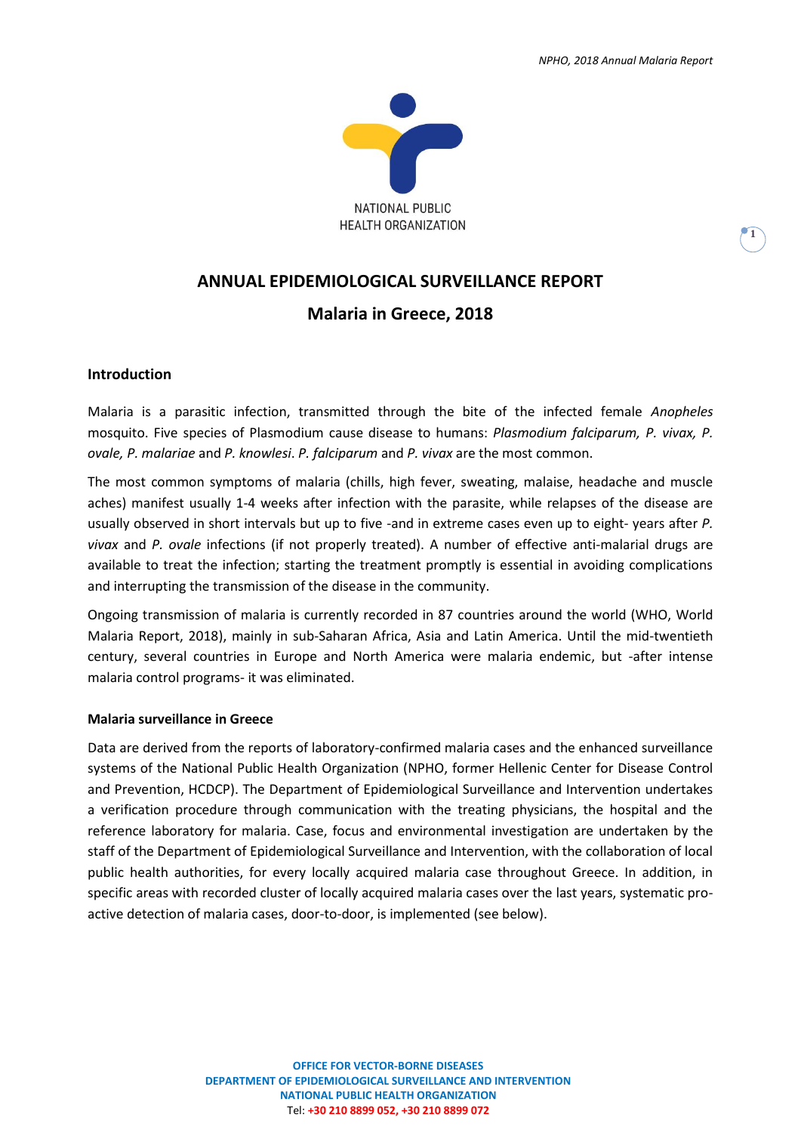**1**



## **ANNUAL EPIDEMIOLOGICAL SURVEILLANCE REPORT**

## **Malaria in Greece, 2018**

### **Introduction**

Malaria is a parasitic infection, transmitted through the bite of the infected female *Anopheles* mosquito. Five species of Plasmodium cause disease to humans: *Plasmodium falciparum, P. vivax, P. ovale, P. malariae* and *P. knowlesi*. *P. falciparum* and *P. vivax* are the most common.

The most common symptoms of malaria (chills, high fever, sweating, malaise, headache and muscle aches) manifest usually 1-4 weeks after infection with the parasite, while relapses of the disease are usually observed in short intervals but up to five -and in extreme cases even up to eight- years after *P. vivax* and *P. ovale* infections (if not properly treated). A number of effective anti-malarial drugs are available to treat the infection; starting the treatment promptly is essential in avoiding complications and interrupting the transmission of the disease in the community.

Ongoing transmission of malaria is currently recorded in 87 countries around the world (WHO, World Malaria Report, 2018), mainly in sub-Saharan Africa, Asia and Latin America. Until the mid-twentieth century, several countries in Europe and North America were malaria endemic, but -after intense malaria control programs- it was eliminated.

#### **Malaria surveillance in Greece**

Data are derived from the reports of laboratory-confirmed malaria cases and the enhanced surveillance systems of the National Public Health Organization (NPHO, former Hellenic Center for Disease Control and Prevention, HCDCP). The Department of Epidemiological Surveillance and Intervention undertakes a verification procedure through communication with the treating physicians, the hospital and the reference laboratory for malaria. Case, focus and environmental investigation are undertaken by the staff of the Department of Epidemiological Surveillance and Intervention, with the collaboration of local public health authorities, for every locally acquired malaria case throughout Greece. In addition, in specific areas with recorded cluster of locally acquired malaria cases over the last years, systematic proactive detection of malaria cases, door-to-door, is implemented (see below).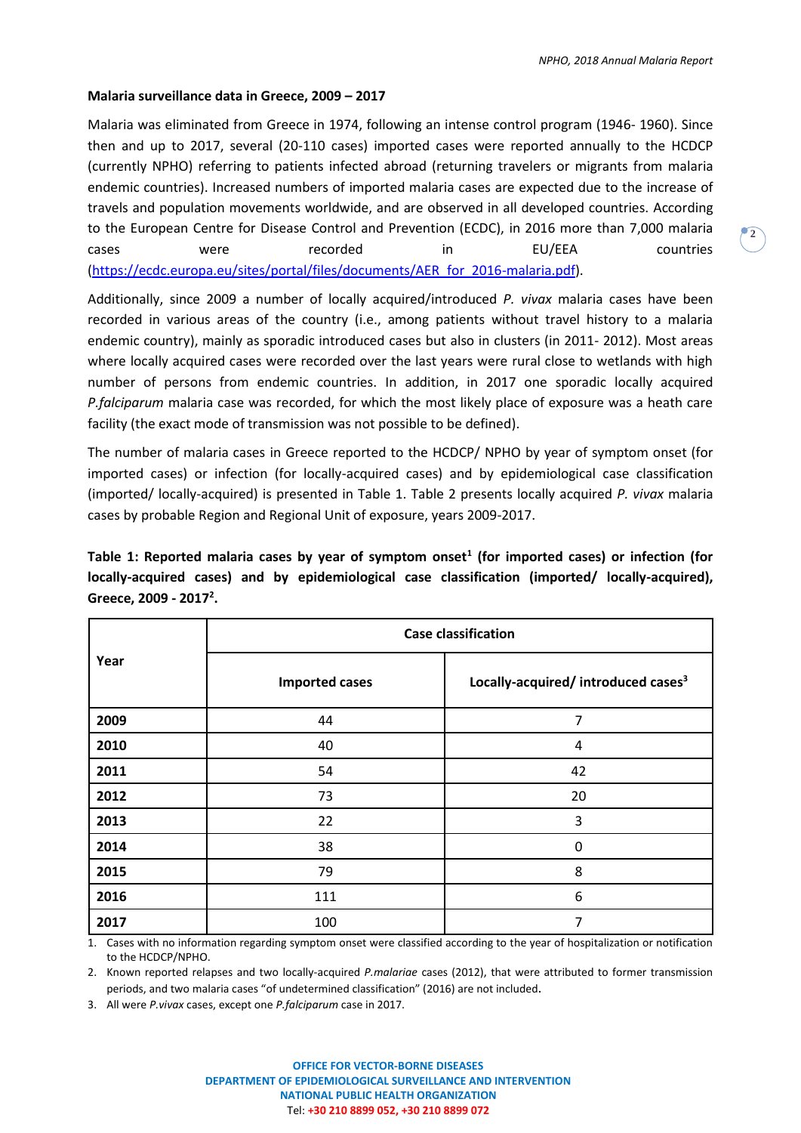#### **Malaria surveillance data in Greece, 2009 – 2017**

Malaria was eliminated from Greece in 1974, following an intense control program (1946- 1960). Since then and up to 2017, several (20-110 cases) imported cases were reported annually to the HCDCP (currently NPHO) referring to patients infected abroad (returning travelers or migrants from malaria endemic countries). Increased numbers of imported malaria cases are expected due to the increase of travels and population movements worldwide, and are observed in all developed countries. According to the European Centre for Disease Control and Prevention (ECDC), in 2016 more than 7,000 malaria cases were recorded in EU/EEA countries [\(https://ecdc.europa.eu/sites/portal/files/documents/AER\\_for\\_2016-malaria.pdf\)](https://ecdc.europa.eu/sites/portal/files/documents/AER_for_2016-malaria.pdf).

Additionally, since 2009 a number of locally acquired/introduced *P. vivax* malaria cases have been recorded in various areas of the country (i.e., among patients without travel history to a malaria endemic country), mainly as sporadic introduced cases but also in clusters (in 2011- 2012). Most areas where locally acquired cases were recorded over the last years were rural close to wetlands with high number of persons from endemic countries. In addition, in 2017 one sporadic locally acquired *P.falciparum* malaria case was recorded, for which the most likely place of exposure was a heath care facility (the exact mode of transmission was not possible to be defined).

The number of malaria cases in Greece reported to the HCDCP/ NPHO by year of symptom onset (for imported cases) or infection (for locally-acquired cases) and by epidemiological case classification (imported/ locally-acquired) is presented in Table 1. Table 2 presents locally acquired *P. vivax* malaria cases by probable Region and Regional Unit of exposure, years 2009-2017.

**Table 1: Reported malaria cases by year of symptom onset<sup>1</sup> (for imported cases) or infection (for locally-acquired cases) and by epidemiological case classification (imported/ locally-acquired), Greece, 2009 - 2017 2 .**

| Year | <b>Case classification</b> |                                                 |  |  |  |  |  |
|------|----------------------------|-------------------------------------------------|--|--|--|--|--|
|      | <b>Imported cases</b>      | Locally-acquired/ introduced cases <sup>3</sup> |  |  |  |  |  |
| 2009 | 44                         | 7                                               |  |  |  |  |  |
| 2010 | 40                         | 4                                               |  |  |  |  |  |
| 2011 | 54                         | 42                                              |  |  |  |  |  |
| 2012 | 73                         | 20                                              |  |  |  |  |  |
| 2013 | 22                         | 3                                               |  |  |  |  |  |
| 2014 | 38                         | 0                                               |  |  |  |  |  |
| 2015 | 79                         | 8                                               |  |  |  |  |  |
| 2016 | 111                        | 6                                               |  |  |  |  |  |
| 2017 | 100                        | 7                                               |  |  |  |  |  |

1. Cases with no information regarding symptom onset were classified according to the year of hospitalization or notification to the HCDCP/NPHO.

2. Known reported relapses and two locally-acquired *P.malariae* cases (2012), that were attributed to former transmission periods, and two malaria cases "of undetermined classification" (2016) are not included.

3. All were *P.vivax* cases, except one *P.falciparum* case in 2017.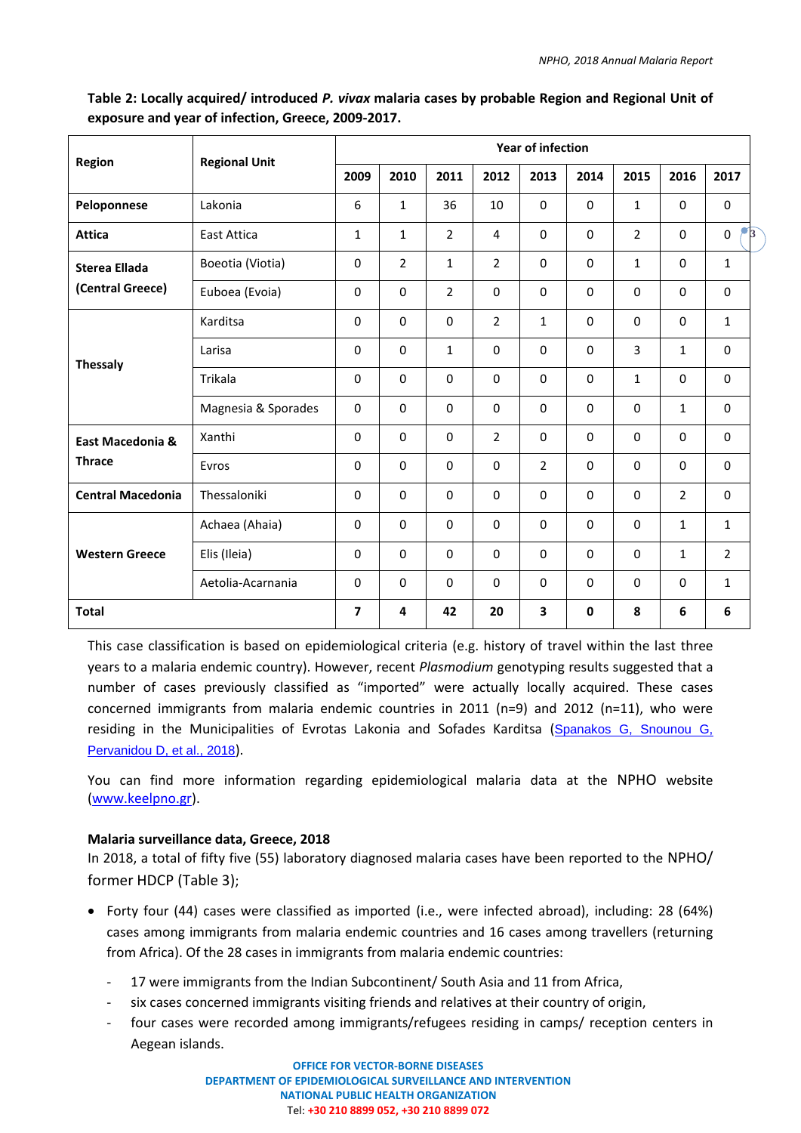| Region                            | <b>Regional Unit</b> | <b>Year of infection</b> |                |                |                |                |             |                |                |                                |
|-----------------------------------|----------------------|--------------------------|----------------|----------------|----------------|----------------|-------------|----------------|----------------|--------------------------------|
|                                   |                      | 2009                     | 2010           | 2011           | 2012           | 2013           | 2014        | 2015           | 2016           | 2017                           |
| Peloponnese                       | Lakonia              | 6                        | $\mathbf{1}$   | 36             | 10             | $\Omega$       | $\Omega$    | $\mathbf{1}$   | $\Omega$       | $\mathbf 0$                    |
| <b>Attica</b>                     | <b>East Attica</b>   | $\mathbf{1}$             | $\mathbf{1}$   | $\overline{2}$ | 4              | $\Omega$       | $\Omega$    | $\overline{2}$ | $\Omega$       | $\mathcal{F}_3$<br>$\mathbf 0$ |
| <b>Sterea Ellada</b>              | Boeotia (Viotia)     | $\Omega$                 | $\overline{2}$ | $\mathbf{1}$   | $\overline{2}$ | $\Omega$       | $\Omega$    | $\mathbf{1}$   | $\Omega$       | $\mathbf{1}$                   |
| (Central Greece)                  | Euboea (Evoia)       | 0                        | 0              | $\overline{2}$ | $\mathbf 0$    | 0              | $\mathbf 0$ | $\Omega$       | $\mathbf 0$    | $\mathbf 0$                    |
|                                   | Karditsa             | 0                        | $\mathbf 0$    | $\mathbf 0$    | 2              | $\mathbf{1}$   | $\mathbf 0$ | $\Omega$       | $\mathbf 0$    | $\mathbf{1}$                   |
|                                   | Larisa               | $\Omega$                 | $\Omega$       | $\mathbf{1}$   | $\mathbf{0}$   | $\Omega$       | 0           | 3              | $\mathbf{1}$   | $\Omega$                       |
| <b>Thessaly</b>                   | Trikala              | $\Omega$                 | $\Omega$       | $\Omega$       | 0              | 0              | $\Omega$    | $\mathbf 1$    | 0              | $\Omega$                       |
|                                   | Magnesia & Sporades  | $\Omega$                 | $\Omega$       | $\Omega$       | $\Omega$       | $\Omega$       | $\Omega$    | $\Omega$       | $\mathbf{1}$   | $\Omega$                       |
| East Macedonia &<br><b>Thrace</b> | Xanthi               | $\Omega$                 | $\Omega$       | $\Omega$       | $\overline{2}$ | $\Omega$       | $\mathbf 0$ | $\Omega$       | $\Omega$       | $\Omega$                       |
|                                   | Evros                | 0                        | $\Omega$       | $\Omega$       | $\mathbf 0$    | $\overline{2}$ | $\mathbf 0$ | $\Omega$       | $\mathbf 0$    | $\Omega$                       |
| <b>Central Macedonia</b>          | Thessaloniki         | $\Omega$                 | $\mathbf 0$    | $\mathbf 0$    | $\mathbf 0$    | $\mathbf 0$    | $\mathbf 0$ | $\Omega$       | $\overline{2}$ | $\Omega$                       |
| <b>Western Greece</b>             | Achaea (Ahaia)       | $\Omega$                 | $\Omega$       | $\Omega$       | $\Omega$       | $\Omega$       | $\Omega$    | $\Omega$       | $\mathbf{1}$   | $\mathbf{1}$                   |
|                                   | Elis (Ileia)         | $\mathbf 0$              | $\Omega$       | $\Omega$       | $\mathbf 0$    | $\Omega$       | $\mathbf 0$ | $\Omega$       | $\mathbf{1}$   | $\overline{2}$                 |
|                                   | Aetolia-Acarnania    | $\Omega$                 | $\mathbf 0$    | $\Omega$       | $\mathbf 0$    | $\Omega$       | $\mathbf 0$ | $\Omega$       | $\mathbf 0$    | $\mathbf{1}$                   |
| <b>Total</b>                      |                      | $\overline{7}$           | 4              | 42             | 20             | 3              | $\mathbf 0$ | 8              | 6              | 6                              |

# **Table 2: Locally acquired/ introduced** *P. vivax* **malaria cases by probable Region and Regional Unit of exposure and year of infection, Greece, 2009-2017.**

This case classification is based on epidemiological criteria (e.g. history of travel within the last three years to a malaria endemic country). However, recent *Plasmodium* genotyping results suggested that a number of cases previously classified as "imported" were actually locally acquired. These cases concerned immigrants from malaria endemic countries in 2011 (n=9) and 2012 (n=11), who were residing in the Municipalities of Evrotas Lakonia and Sofades Karditsa ([Spanakos G, Snounou G,](https://wwwnc.cdc.gov/eid/article/24/3/17-0605_article)  [Pervanidou D, et al., 2018](https://wwwnc.cdc.gov/eid/article/24/3/17-0605_article)).

You can find more information regarding epidemiological malaria data at the NPHO website [\(www.keelpno.gr\)](http://www.keelpno.gr/).

## **Malaria surveillance data, Greece, 2018**

In 2018, a total of fifty five (55) laboratory diagnosed malaria cases have been reported to the NPHO/ former HDCP (Table 3);

- Forty four (44) cases were classified as imported (i.e., were infected abroad), including: 28 (64%) cases among immigrants from malaria endemic countries and 16 cases among travellers (returning from Africa). Of the 28 cases in immigrants from malaria endemic countries:
	- 17 were immigrants from the Indian Subcontinent/ South Asia and 11 from Africa,
	- six cases concerned immigrants visiting friends and relatives at their country of origin,
	- four cases were recorded among immigrants/refugees residing in camps/ reception centers in Aegean islands.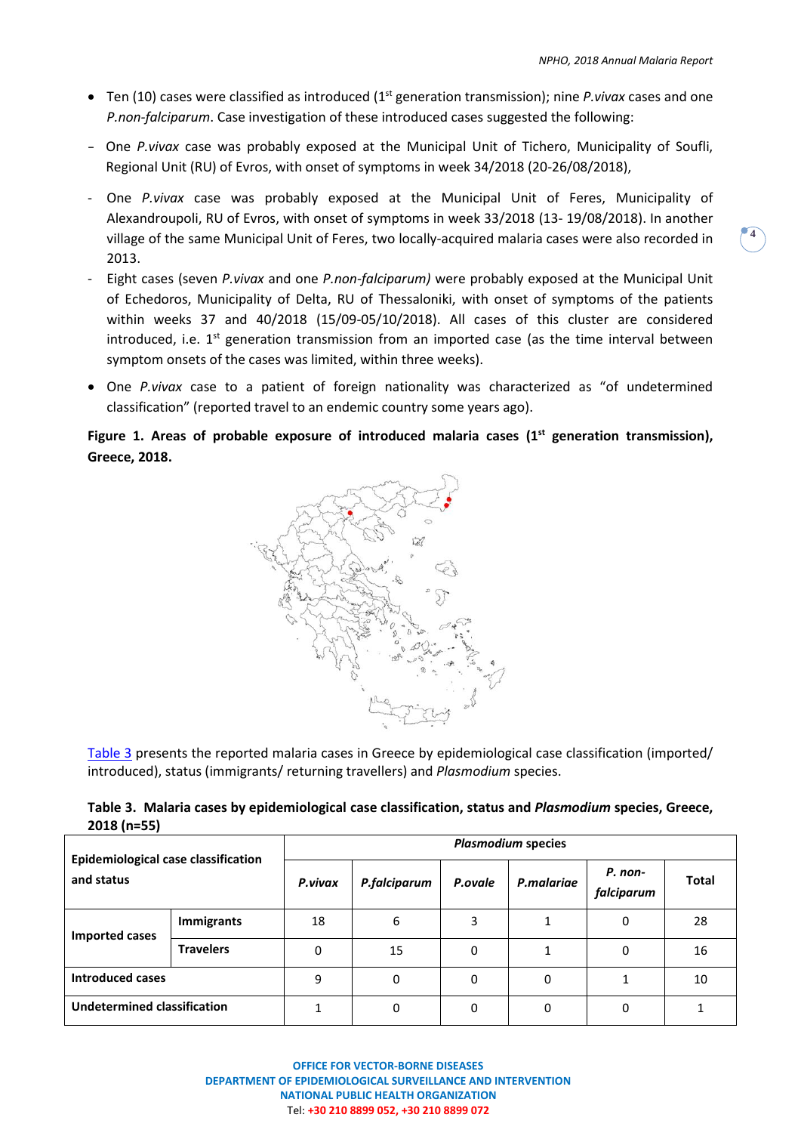**4**

- Ten (10) cases were classified as introduced (1st generation transmission); nine *P.vivax* cases and one *P.non-falciparum*. Case investigation of these introduced cases suggested the following:
- One *P.vivax* case was probably exposed at the Municipal Unit of Tichero, Municipality of Soufli, Regional Unit (RU) of Evros, with onset of symptoms in week 34/2018 (20-26/08/2018),
- One *P.vivax* case was probably exposed at the Municipal Unit of Feres, Municipality of Alexandroupoli, RU of Evros, with onset of symptoms in week 33/2018 (13- 19/08/2018). In another village of the same Municipal Unit of Feres, two locally-acquired malaria cases were also recorded in 2013.
- Eight cases (seven *P.vivax* and one *P.non-falciparum)* were probably exposed at the Municipal Unit of Echedoros, Municipality of Delta, RU of Thessaloniki, with onset of symptoms of the patients within weeks 37 and 40/2018 (15/09-05/10/2018). All cases of this cluster are considered introduced, i.e.  $1^{st}$  generation transmission from an imported case (as the time interval between symptom onsets of the cases was limited, within three weeks).
- One *P.vivax* case to a patient of foreign nationality was characterized as "of undetermined classification" (reported travel to an endemic country some years ago).

## **Figure 1. Areas of probable exposure of introduced malaria cases (1 st generation transmission), Greece, 2018.**



Table 3 presents the reported malaria cases in Greece by epidemiological case classification (imported/ introduced), status (immigrants/ returning travellers) and *Plasmodium* species.

|              |  |  | Table 3. Malaria cases by epidemiological case classification, status and Plasmodium species, Greece, |  |
|--------------|--|--|-------------------------------------------------------------------------------------------------------|--|
| $2018(n=55)$ |  |  |                                                                                                       |  |

| <b>Epidemiological case classification</b><br>and status |                   | <b>Plasmodium species</b> |                         |   |            |                                       |    |  |  |  |
|----------------------------------------------------------|-------------------|---------------------------|-------------------------|---|------------|---------------------------------------|----|--|--|--|
|                                                          |                   | P.vivax                   | P.falciparum<br>P.ovale |   | P.malariae | P. non-<br><b>Total</b><br>falciparum |    |  |  |  |
| <b>Imported cases</b>                                    | <b>Immigrants</b> | 18                        | 6                       | 3 |            | 0                                     | 28 |  |  |  |
|                                                          | <b>Travelers</b>  | 0                         | 15                      | 0 |            | 0                                     | 16 |  |  |  |
| <b>Introduced cases</b>                                  |                   | 9                         | 0                       | 0 | 0          | 1                                     | 10 |  |  |  |
| <b>Undetermined classification</b>                       |                   |                           | 0                       | 0 | 0          | 0                                     |    |  |  |  |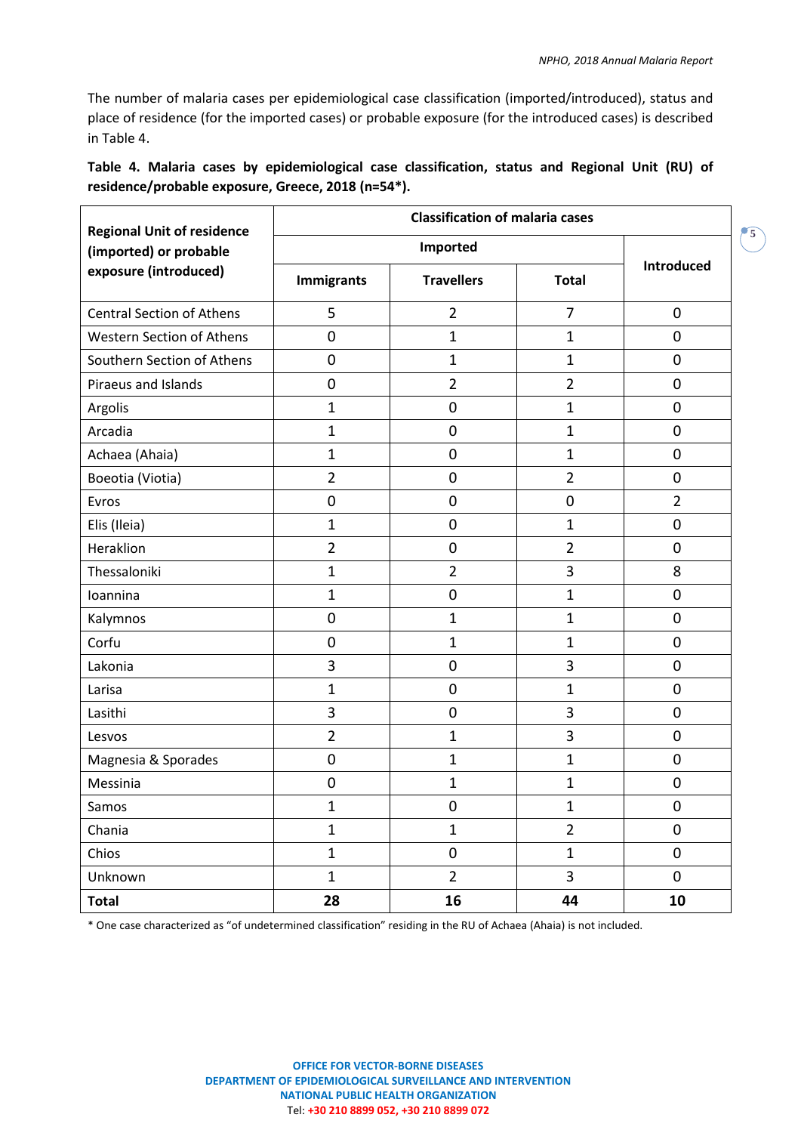**5**

The number of malaria cases per epidemiological case classification (imported/introduced), status and place of residence (for the imported cases) or probable exposure (for the introduced cases) is described in Table 4.

|  |  | Table 4. Malaria cases by epidemiological case classification, status and Regional Unit (RU) of |  |  |  |  |
|--|--|-------------------------------------------------------------------------------------------------|--|--|--|--|
|  |  | residence/probable exposure, Greece, 2018 (n=54*).                                              |  |  |  |  |

| <b>Regional Unit of residence</b> | <b>Classification of malaria cases</b> |                |                |                   |  |  |  |  |  |
|-----------------------------------|----------------------------------------|----------------|----------------|-------------------|--|--|--|--|--|
| (imported) or probable            |                                        |                |                |                   |  |  |  |  |  |
| exposure (introduced)             | <b>Travellers</b><br><b>Immigrants</b> |                | <b>Total</b>   | <b>Introduced</b> |  |  |  |  |  |
| <b>Central Section of Athens</b>  | 5                                      | $\overline{2}$ | $\overline{7}$ | $\mathbf 0$       |  |  |  |  |  |
| <b>Western Section of Athens</b>  | $\pmb{0}$                              | $\mathbf{1}$   | $\mathbf{1}$   | $\mathbf 0$       |  |  |  |  |  |
| Southern Section of Athens        | $\mathbf 0$                            | $\mathbf{1}$   | $\mathbf{1}$   | $\mathbf 0$       |  |  |  |  |  |
| Piraeus and Islands               | $\pmb{0}$                              | $\overline{2}$ | $\overline{2}$ | $\pmb{0}$         |  |  |  |  |  |
| Argolis                           | $\mathbf{1}$                           | $\mathbf 0$    | $\mathbf 1$    | $\mathbf 0$       |  |  |  |  |  |
| Arcadia                           | $\mathbf{1}$                           | $\mathbf 0$    | $\mathbf 1$    | $\mathbf 0$       |  |  |  |  |  |
| Achaea (Ahaia)                    | $\mathbf{1}$                           | $\mathbf 0$    | $\mathbf 1$    | $\mathbf 0$       |  |  |  |  |  |
| Boeotia (Viotia)                  | $\overline{2}$                         | $\mathbf 0$    | $\overline{2}$ | $\mathbf 0$       |  |  |  |  |  |
| Evros                             | $\boldsymbol{0}$                       | $\mathbf 0$    | $\pmb{0}$      | $\overline{2}$    |  |  |  |  |  |
| Elis (Ileia)                      | $\mathbf{1}$                           | $\mathbf 0$    | $\mathbf{1}$   | $\pmb{0}$         |  |  |  |  |  |
| Heraklion                         | $\overline{2}$                         | $\mathbf 0$    | $\overline{2}$ | $\mathbf 0$       |  |  |  |  |  |
| Thessaloniki                      | $\mathbf{1}$                           | $\overline{2}$ | 3              | 8                 |  |  |  |  |  |
| Ioannina                          | $\mathbf{1}$                           | 0              | $\mathbf{1}$   | $\pmb{0}$         |  |  |  |  |  |
| Kalymnos                          | $\mathbf 0$                            | $\mathbf{1}$   | $\mathbf{1}$   | $\pmb{0}$         |  |  |  |  |  |
| Corfu                             | $\mathbf 0$                            | $\mathbf{1}$   | $\mathbf{1}$   | $\mathbf 0$       |  |  |  |  |  |
| Lakonia                           | 3                                      | $\mathbf 0$    | 3              | $\mathbf 0$       |  |  |  |  |  |
| Larisa                            | $\mathbf{1}$                           | $\mathbf 0$    | $\mathbf 1$    | $\mathbf 0$       |  |  |  |  |  |
| Lasithi                           | 3                                      | $\mathbf 0$    | 3              | $\mathbf 0$       |  |  |  |  |  |
| Lesvos                            | $\overline{2}$                         | $\mathbf{1}$   | 3              | $\mathbf 0$       |  |  |  |  |  |
| Magnesia & Sporades               | $\boldsymbol{0}$                       | $\mathbf{1}$   | 1              | $\mathbf 0$       |  |  |  |  |  |
| Messinia                          | $\boldsymbol{0}$                       | $\mathbf{1}$   | $\mathbf 1$    | $\boldsymbol{0}$  |  |  |  |  |  |
| Samos                             | $\mathbf{1}$                           | $\overline{0}$ | 1              | $\overline{0}$    |  |  |  |  |  |
| Chania                            | $\mathbf{1}$                           | $\mathbf{1}$   | $\overline{2}$ | $\pmb{0}$         |  |  |  |  |  |
| Chios                             | $\mathbf{1}$                           | 0              | $\mathbf{1}$   | $\pmb{0}$         |  |  |  |  |  |
| Unknown                           | $\mathbf{1}$                           | $\overline{2}$ | 3              | $\mathbf 0$       |  |  |  |  |  |
| <b>Total</b>                      | 28                                     | 16             | 44             | 10                |  |  |  |  |  |

\* One case characterized as "of undetermined classification" residing in the RU of Achaea (Ahaia) is not included.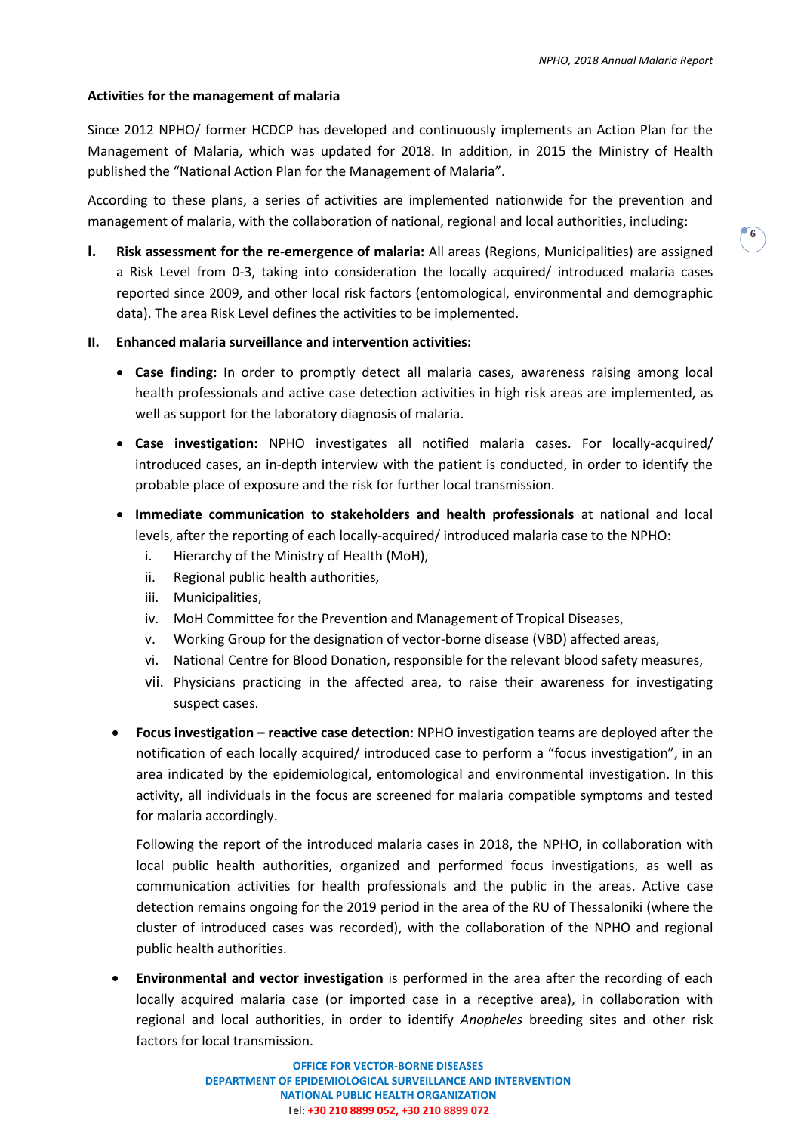### **Activities for the management of malaria**

Since 2012 NPHO/ former HCDCP has developed and continuously implements an Action Plan for the Management of Malaria, which was updated for 2018. In addition, in 2015 the Ministry of Health published the "National Action Plan for the Management of Malaria".

According to these plans, a series of activities are implemented nationwide for the prevention and management of malaria, with the collaboration of national, regional and local authorities, including:

**I. Risk assessment for the re-emergence of malaria:** All areas (Regions, Municipalities) are assigned a Risk Level from 0-3, taking into consideration the locally acquired/ introduced malaria cases reported since 2009, and other local risk factors (entomological, environmental and demographic data). The area Risk Level defines the activities to be implemented.

### **II. Enhanced malaria surveillance and intervention activities:**

- **Case finding:** In order to promptly detect all malaria cases, awareness raising among local health professionals and active case detection activities in high risk areas are implemented, as well as support for the laboratory diagnosis of malaria.
- **Case investigation:** NPHO investigates all notified malaria cases. For locally-acquired/ introduced cases, an in-depth interview with the patient is conducted, in order to identify the probable place of exposure and the risk for further local transmission.
- **Immediate communication to stakeholders and health professionals** at national and local levels, after the reporting of each locally-acquired/ introduced malaria case to the NPHO:
	- i. Hierarchy of the Ministry of Health (MoH),
	- ii. Regional public health authorities,
	- iii. Municipalities,
	- iv. MoH Committee for the Prevention and Management of Tropical Diseases,
	- v. Working Group for the designation of vector-borne disease (VBD) affected areas,
	- vi. National Centre for Blood Donation, responsible for the relevant blood safety measures,
	- vii. Physicians practicing in the affected area, to raise their awareness for investigating suspect cases.
- **Focus investigation – reactive case detection**: NPHO investigation teams are deployed after the notification of each locally acquired/ introduced case to perform a "focus investigation", in an area indicated by the epidemiological, entomological and environmental investigation. In this activity, all individuals in the focus are screened for malaria compatible symptoms and tested for malaria accordingly.

Following the report of the introduced malaria cases in 2018, the NPHO, in collaboration with local public health authorities, organized and performed focus investigations, as well as communication activities for health professionals and the public in the areas. Active case detection remains ongoing for the 2019 period in the area of the RU of Thessaloniki (where the cluster of introduced cases was recorded), with the collaboration of the NPHO and regional public health authorities.

 **Environmental and vector investigation** is performed in the area after the recording of each locally acquired malaria case (or imported case in a receptive area), in collaboration with regional and local authorities, in order to identify *Anopheles* breeding sites and other risk factors for local transmission.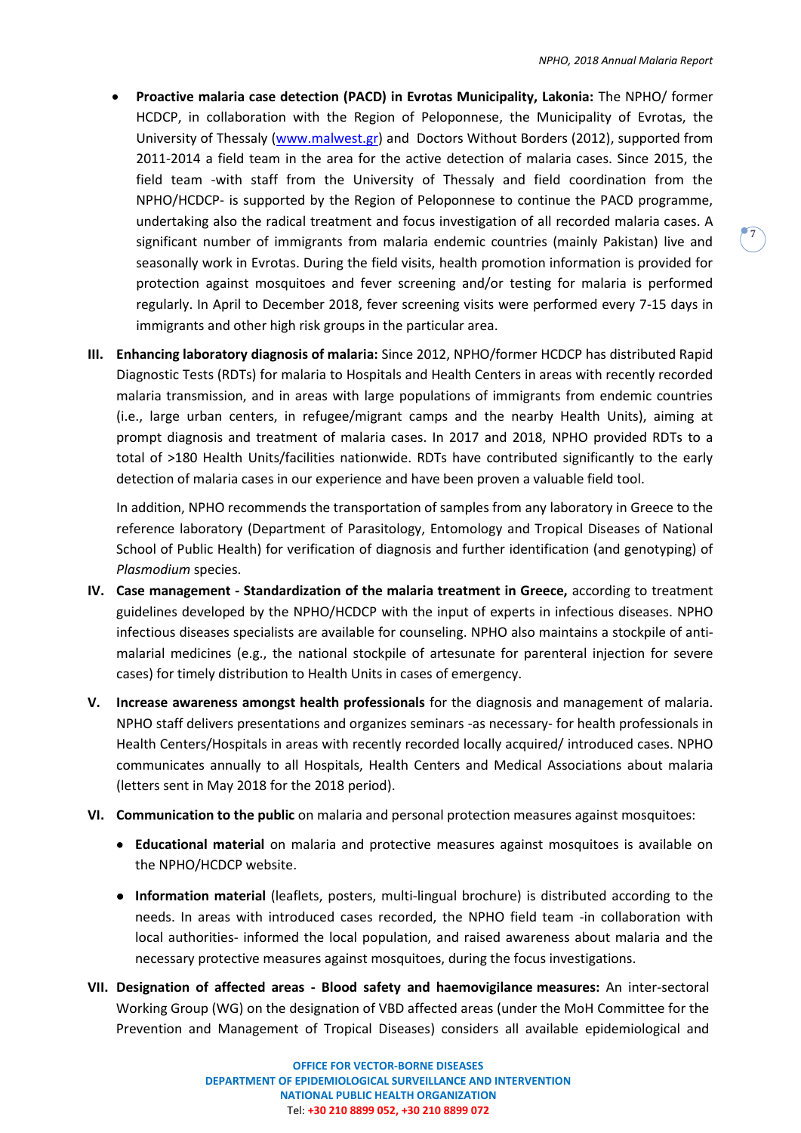- **Proactive malaria case detection (PACD) in Evrotas Municipality, Lakonia:** The NPHO/ former HCDCP, in collaboration with the Region of Peloponnese, the Municipality of Evrotas, the University of Thessaly [\(www.malwest.gr\)](http://www.malwest.gr/) and Doctors Without Borders (2012), supported from 2011-2014 a field team in the area for the active detection of malaria cases. Since 2015, the field team -with staff from the University of Thessaly and field coordination from the NPHO/HCDCP- is supported by the Region of Peloponnese to continue the PACD programme, undertaking also the radical treatment and focus investigation of all recorded malaria cases. A significant number of immigrants from malaria endemic countries (mainly Pakistan) live and seasonally work in Evrotas. During the field visits, health promotion information is provided for protection against mosquitoes and fever screening and/or testing for malaria is performed regularly. In April to December 2018, fever screening visits were performed every 7-15 days in immigrants and other high risk groups in the particular area.
- **III. Enhancing laboratory diagnosis of malaria:** Since 2012, NPHO/former HCDCP has distributed Rapid Diagnostic Tests (RDTs) for malaria to Hospitals and Health Centers in areas with recently recorded malaria transmission, and in areas with large populations of immigrants from endemic countries (i.e., large urban centers, in refugee/migrant camps and the nearby Health Units), aiming at prompt diagnosis and treatment of malaria cases. In 2017 and 2018, NPHO provided RDTs to a total of >180 Health Units/facilities nationwide. RDTs have contributed significantly to the early detection of malaria cases in our experience and have been proven a valuable field tool.

In addition, NPHO recommends the transportation of samples from any laboratory in Greece to the reference laboratory (Department of Parasitology, Entomology and Tropical Diseases of National School of Public Health) for verification of diagnosis and further identification (and genotyping) of *Plasmodium* species.

- **IV. Case management - Standardization of the malaria treatment in Greece,** according to treatment guidelines developed by the NPHO/HCDCP with the input of experts in infectious diseases. NPHO infectious diseases specialists are available for counseling. NPHO also maintains a stockpile of antimalarial medicines (e.g., the national stockpile of artesunate for parenteral injection for severe cases) for timely distribution to Health Units in cases of emergency.
- **V. Increase awareness amongst health professionals** for the diagnosis and management of malaria. NPHO staff delivers presentations and organizes seminars -as necessary- for health professionals in Health Centers/Hospitals in areas with recently recorded locally acquired/ introduced cases. NPHO communicates annually to all Hospitals, Health Centers and Medical Associations about malaria (letters sent in May 2018 for the 2018 period).
- **VI. Communication to the public** on malaria and personal protection measures against mosquitoes:
	- **Educational material** on malaria and protective measures against mosquitoes is available on the NPHO/HCDCP website.
	- **Information material** (leaflets, posters, multi-lingual brochure) is distributed according to the needs. In areas with introduced cases recorded, the NPHO field team -in collaboration with local authorities- informed the local population, and raised awareness about malaria and the necessary protective measures against mosquitoes, during the focus investigations.
- **VII. Designation of affected areas - Blood safety and haemovigilance measures:** An inter-sectoral Working Group (WG) on the designation of VBD affected areas (under the MoH Committee for the Prevention and Management of Tropical Diseases) considers all available epidemiological and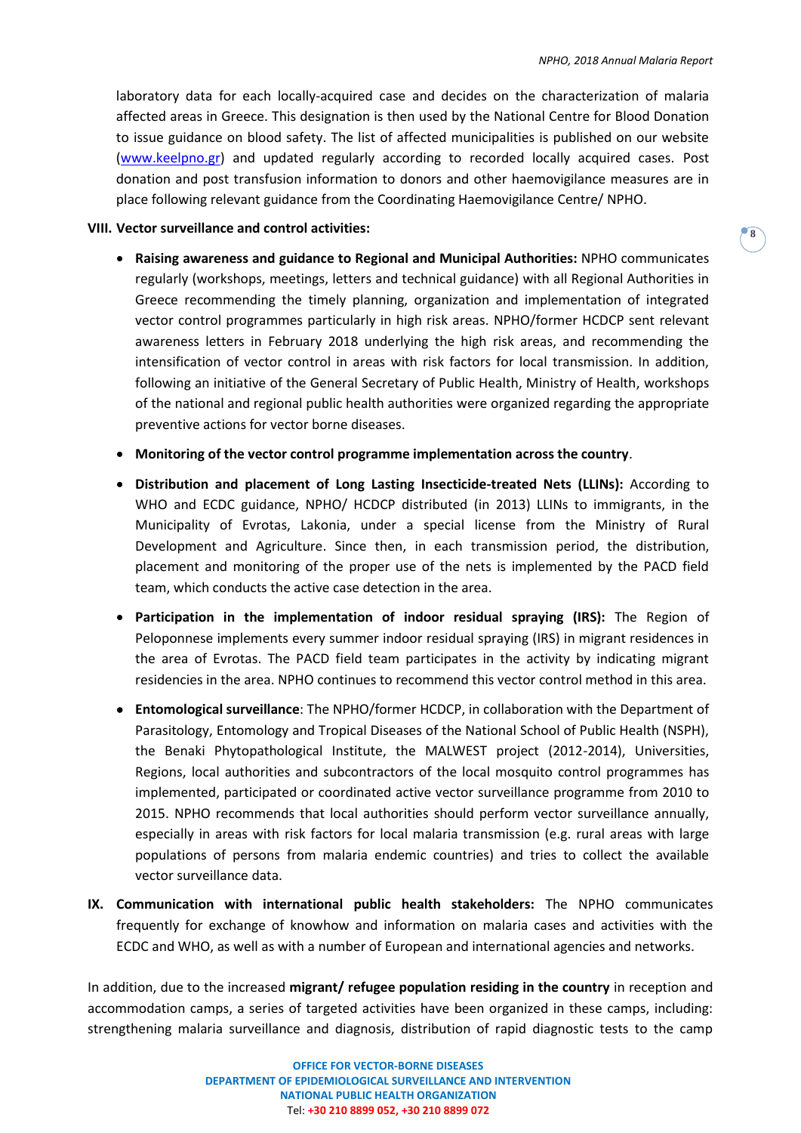laboratory data for each locally-acquired case and decides on the characterization of malaria affected areas in Greece. This designation is then used by the National Centre for Blood Donation to issue guidance on blood safety. The list of affected municipalities is published on our website [\(www.keelpno.gr\)](http://www.keelpno.gr/) and updated regularly according to recorded locally acquired cases. Post donation and post transfusion information to donors and other haemovigilance measures are in place following relevant guidance from the Coordinating Haemovigilance Centre/ NPHO.

### **VIII. Vector surveillance and control activities:**

- **Raising awareness and guidance to Regional and Municipal Authorities:** NPHO communicates regularly (workshops, meetings, letters and technical guidance) with all Regional Authorities in Greece recommending the timely planning, organization and implementation of integrated vector control programmes particularly in high risk areas. NPHO/former HCDCP sent relevant awareness letters in February 2018 underlying the high risk areas, and recommending the intensification of vector control in areas with risk factors for local transmission. In addition, following an initiative of the General Secretary of Public Health, Ministry of Health, workshops of the national and regional public health authorities were organized regarding the appropriate preventive actions for vector borne diseases.
- **Monitoring of the vector control programme implementation across the country**.
- **Distribution and placement of Long Lasting Insecticide-treated Nets (LLINs):** According to WHO and ECDC guidance, NPHO/ HCDCP distributed (in 2013) LLINs to immigrants, in the Municipality of Evrotas, Lakonia, under a special license from the Ministry of Rural Development and Agriculture. Since then, in each transmission period, the distribution, placement and monitoring of the proper use of the nets is implemented by the PACD field team, which conducts the active case detection in the area.
- **Participation in the implementation of indoor residual spraying (IRS):** The Region of Peloponnese implements every summer indoor residual spraying (IRS) in migrant residences in the area of Evrotas. The PACD field team participates in the activity by indicating migrant residencies in the area. NPHO continues to recommend this vector control method in this area.
- **Entomological surveillance**: The NPHO/former HCDCP, in collaboration with the Department of Parasitology, Entomology and Tropical Diseases of the National School of Public Health (NSPH), the Benaki Phytopathological Institute, the MALWEST project (2012-2014), Universities, Regions, local authorities and subcontractors of the local mosquito control programmes has implemented, participated or coordinated active vector surveillance programme from 2010 to 2015. NPHO recommends that local authorities should perform vector surveillance annually, especially in areas with risk factors for local malaria transmission (e.g. rural areas with large populations of persons from malaria endemic countries) and tries to collect the available vector surveillance data.
- **IX. Communication with international public health stakeholders:** The NPHO communicates frequently for exchange of knowhow and information on malaria cases and activities with the ECDC and WHO, as well as with a number of European and international agencies and networks.

In addition, due to the increased **migrant/ refugee population residing in the country** in reception and accommodation camps, a series of targeted activities have been organized in these camps, including: strengthening malaria surveillance and diagnosis, distribution of rapid diagnostic tests to the camp